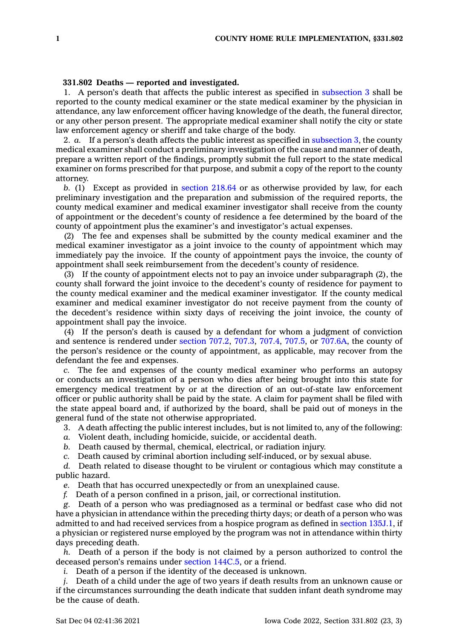## **331.802 Deaths — reported and investigated.**

1. A person's death that affects the public interest as specified in [subsection](https://www.legis.iowa.gov/docs/code/331.802.pdf) 3 shall be reported to the county medical examiner or the state medical examiner by the physician in attendance, any law enforcement officer having knowledge of the death, the funeral director, or any other person present. The appropriate medical examiner shall notify the city or state law enforcement agency or sheriff and take charge of the body.

2. *a.* If <sup>a</sup> person's death affects the public interest as specified in [subsection](https://www.legis.iowa.gov/docs/code/331.802.pdf) 3, the county medical examiner shall conduct <sup>a</sup> preliminary investigation of the cause and manner of death, prepare <sup>a</sup> written report of the findings, promptly submit the full report to the state medical examiner on forms prescribed for that purpose, and submit <sup>a</sup> copy of the report to the county attorney.

*b.* (1) Except as provided in [section](https://www.legis.iowa.gov/docs/code/218.64.pdf) 218.64 or as otherwise provided by law, for each preliminary investigation and the preparation and submission of the required reports, the county medical examiner and medical examiner investigator shall receive from the county of appointment or the decedent's county of residence <sup>a</sup> fee determined by the board of the county of appointment plus the examiner's and investigator's actual expenses.

(2) The fee and expenses shall be submitted by the county medical examiner and the medical examiner investigator as <sup>a</sup> joint invoice to the county of appointment which may immediately pay the invoice. If the county of appointment pays the invoice, the county of appointment shall seek reimbursement from the decedent's county of residence.

(3) If the county of appointment elects not to pay an invoice under subparagraph (2), the county shall forward the joint invoice to the decedent's county of residence for payment to the county medical examiner and the medical examiner investigator. If the county medical examiner and medical examiner investigator do not receive payment from the county of the decedent's residence within sixty days of receiving the joint invoice, the county of appointment shall pay the invoice.

(4) If the person's death is caused by <sup>a</sup> defendant for whom <sup>a</sup> judgment of conviction and sentence is rendered under [section](https://www.legis.iowa.gov/docs/code/707.2.pdf) 707.2, [707.3](https://www.legis.iowa.gov/docs/code/707.3.pdf), [707.4](https://www.legis.iowa.gov/docs/code/707.4.pdf), [707.5](https://www.legis.iowa.gov/docs/code/707.5.pdf), or [707.6A](https://www.legis.iowa.gov/docs/code/707.6A.pdf), the county of the person's residence or the county of appointment, as applicable, may recover from the defendant the fee and expenses.

*c.* The fee and expenses of the county medical examiner who performs an autopsy or conducts an investigation of <sup>a</sup> person who dies after being brought into this state for emergency medical treatment by or at the direction of an out-of-state law enforcement officer or public authority shall be paid by the state. A claim for payment shall be filed with the state appeal board and, if authorized by the board, shall be paid out of moneys in the general fund of the state not otherwise appropriated.

3. A death affecting the public interest includes, but is not limited to, any of the following:

*a.* Violent death, including homicide, suicide, or accidental death.

*b.* Death caused by thermal, chemical, electrical, or radiation injury.

*c.* Death caused by criminal abortion including self-induced, or by sexual abuse.

*d.* Death related to disease thought to be virulent or contagious which may constitute <sup>a</sup> public hazard.

*e.* Death that has occurred unexpectedly or from an unexplained cause.

*f.* Death of <sup>a</sup> person confined in <sup>a</sup> prison, jail, or correctional institution.

*g.* Death of <sup>a</sup> person who was prediagnosed as <sup>a</sup> terminal or bedfast case who did not have <sup>a</sup> physician in attendance within the preceding thirty days; or death of <sup>a</sup> person who was admitted to and had received services from <sup>a</sup> hospice program as defined in section [135J.1](https://www.legis.iowa.gov/docs/code/135J.1.pdf), if <sup>a</sup> physician or registered nurse employed by the program was not in attendance within thirty days preceding death.

*h.* Death of <sup>a</sup> person if the body is not claimed by <sup>a</sup> person authorized to control the deceased person's remains under section [144C.5](https://www.legis.iowa.gov/docs/code/144C.5.pdf), or <sup>a</sup> friend.

*i.* Death of <sup>a</sup> person if the identity of the deceased is unknown.

*j.* Death of <sup>a</sup> child under the age of two years if death results from an unknown cause or if the circumstances surrounding the death indicate that sudden infant death syndrome may be the cause of death.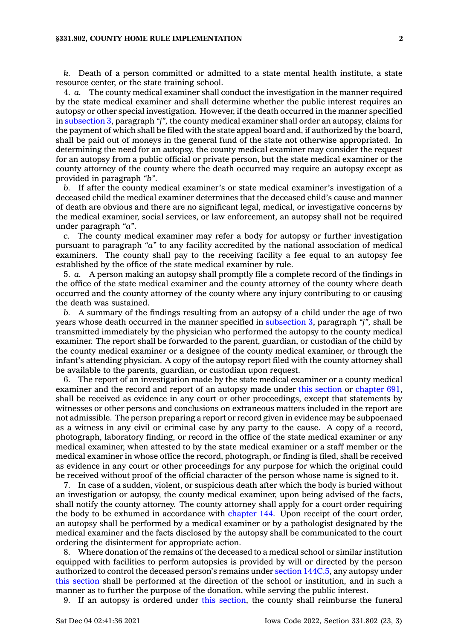## **§331.802, COUNTY HOME RULE IMPLEMENTATION 2**

*k.* Death of <sup>a</sup> person committed or admitted to <sup>a</sup> state mental health institute, <sup>a</sup> state resource center, or the state training school.

4. *a.* The county medical examiner shall conduct the investigation in the manner required by the state medical examiner and shall determine whether the public interest requires an autopsy or other special investigation. However, if the death occurred in the manner specified in [subsection](https://www.legis.iowa.gov/docs/code/331.802.pdf) 3, paragraph *"j",* the county medical examiner shall order an autopsy, claims for the payment of which shall be filed with the state appeal board and, if authorized by the board, shall be paid out of moneys in the general fund of the state not otherwise appropriated. In determining the need for an autopsy, the county medical examiner may consider the request for an autopsy from <sup>a</sup> public official or private person, but the state medical examiner or the county attorney of the county where the death occurred may require an autopsy except as provided in paragraph *"b"*.

*b.* If after the county medical examiner's or state medical examiner's investigation of <sup>a</sup> deceased child the medical examiner determines that the deceased child's cause and manner of death are obvious and there are no significant legal, medical, or investigative concerns by the medical examiner, social services, or law enforcement, an autopsy shall not be required under paragraph *"a"*.

*c.* The county medical examiner may refer <sup>a</sup> body for autopsy or further investigation pursuant to paragraph *"a"* to any facility accredited by the national association of medical examiners. The county shall pay to the receiving facility <sup>a</sup> fee equal to an autopsy fee established by the office of the state medical examiner by rule.

5. *a.* A person making an autopsy shall promptly file <sup>a</sup> complete record of the findings in the office of the state medical examiner and the county attorney of the county where death occurred and the county attorney of the county where any injury contributing to or causing the death was sustained.

*b.* A summary of the findings resulting from an autopsy of <sup>a</sup> child under the age of two years whose death occurred in the manner specified in [subsection](https://www.legis.iowa.gov/docs/code/331.802.pdf) 3, paragraph *"j",* shall be transmitted immediately by the physician who performed the autopsy to the county medical examiner. The report shall be forwarded to the parent, guardian, or custodian of the child by the county medical examiner or <sup>a</sup> designee of the county medical examiner, or through the infant's attending physician. A copy of the autopsy report filed with the county attorney shall be available to the parents, guardian, or custodian upon request.

6. The report of an investigation made by the state medical examiner or <sup>a</sup> county medical examiner and the record and report of an autopsy made under this [section](https://www.legis.iowa.gov/docs/code/331.802.pdf) or [chapter](https://www.legis.iowa.gov/docs/code//691.pdf) 691, shall be received as evidence in any court or other proceedings, except that statements by witnesses or other persons and conclusions on extraneous matters included in the report are not admissible. The person preparing <sup>a</sup> report or record given in evidence may be subpoenaed as <sup>a</sup> witness in any civil or criminal case by any party to the cause. A copy of <sup>a</sup> record, photograph, laboratory finding, or record in the office of the state medical examiner or any medical examiner, when attested to by the state medical examiner or <sup>a</sup> staff member or the medical examiner in whose office the record, photograph, or finding is filed, shall be received as evidence in any court or other proceedings for any purpose for which the original could be received without proof of the official character of the person whose name is signed to it.

7. In case of <sup>a</sup> sudden, violent, or suspicious death after which the body is buried without an investigation or autopsy, the county medical examiner, upon being advised of the facts, shall notify the county attorney. The county attorney shall apply for <sup>a</sup> court order requiring the body to be exhumed in accordance with [chapter](https://www.legis.iowa.gov/docs/code//144.pdf) 144. Upon receipt of the court order, an autopsy shall be performed by <sup>a</sup> medical examiner or by <sup>a</sup> pathologist designated by the medical examiner and the facts disclosed by the autopsy shall be communicated to the court ordering the disinterment for appropriate action.

8. Where donation of the remains of the deceased to <sup>a</sup> medical school or similar institution equipped with facilities to perform autopsies is provided by will or directed by the person authorized to control the deceased person's remains under section [144C.5](https://www.legis.iowa.gov/docs/code/144C.5.pdf), any autopsy under this [section](https://www.legis.iowa.gov/docs/code/331.802.pdf) shall be performed at the direction of the school or institution, and in such <sup>a</sup> manner as to further the purpose of the donation, while serving the public interest.

9. If an autopsy is ordered under this [section](https://www.legis.iowa.gov/docs/code/331.802.pdf), the county shall reimburse the funeral